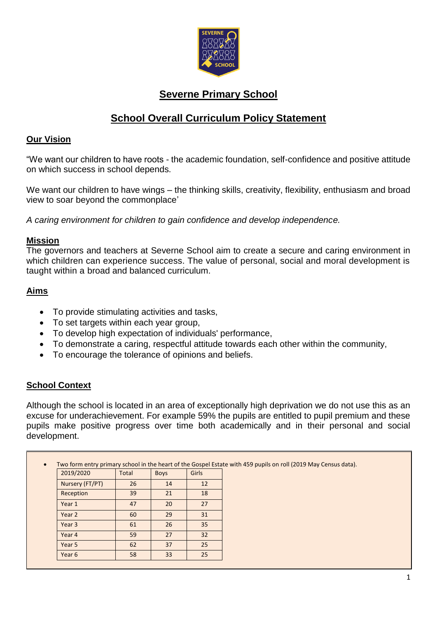

# **Severne Primary School**

# **School Overall Curriculum Policy Statement**

### **Our Vision**

"We want our children to have roots - the academic foundation, self-confidence and positive attitude on which success in school depends.

We want our children to have wings – the thinking skills, creativity, flexibility, enthusiasm and broad view to soar beyond the commonplace'

*A caring environment for children to gain confidence and develop independence.*

#### **Mission**

The governors and teachers at Severne School aim to create a secure and caring environment in which children can experience success. The value of personal, social and moral development is taught within a broad and balanced curriculum.

## **Aims**

- To provide stimulating activities and tasks,
- To set targets within each year group,
- To develop high expectation of individuals' performance,
- To demonstrate a caring, respectful attitude towards each other within the community,
- To encourage the tolerance of opinions and beliefs.

# **School Context**

Although the school is located in an area of exceptionally high deprivation we do not use this as an excuse for underachievement. For example 59% the pupils are entitled to pupil premium and these pupils make positive progress over time both academically and in their personal and social development.

| 2019/2020       | <b>Total</b> | <b>Boys</b> | Girls |  |
|-----------------|--------------|-------------|-------|--|
| Nursery (FT/PT) | 26           | 14          | 12    |  |
| Reception       | 39           | 21          | 18    |  |
| Year 1          | 47           | 20          | 27    |  |
| Year 2          | 60           | 29          | 31    |  |
| Year 3          | 61           | 26          | 35    |  |
| Year 4          | 59           | 27          | 32    |  |
| Year 5          | 62           | 37          | 25    |  |
| Year 6          | 58           | 33          | 25    |  |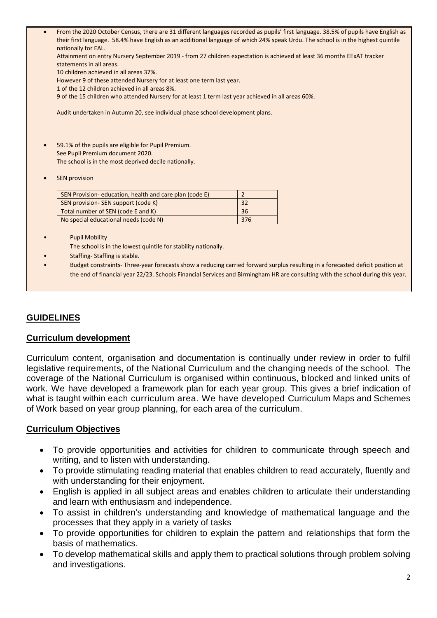| $\bullet$ | nationally for EAL.<br>Attainment on entry Nursery September 2019 - from 27 children expectation is achieved at least 36 months EExAT tracker<br>statements in all areas.<br>10 children achieved in all areas 37%.<br>However 9 of these attended Nursery for at least one term last year.<br>1 of the 12 children achieved in all areas 8%.<br>9 of the 15 children who attended Nursery for at least 1 term last year achieved in all areas 60%. | From the 2020 October Census, there are 31 different languages recorded as pupils' first language. 38.5% of pupils have English as<br>their first language. 58.4% have English as an additional language of which 24% speak Urdu. The school is in the highest quintile |  |  |  |
|-----------|-----------------------------------------------------------------------------------------------------------------------------------------------------------------------------------------------------------------------------------------------------------------------------------------------------------------------------------------------------------------------------------------------------------------------------------------------------|-------------------------------------------------------------------------------------------------------------------------------------------------------------------------------------------------------------------------------------------------------------------------|--|--|--|
|           | Audit undertaken in Autumn 20, see individual phase school development plans.                                                                                                                                                                                                                                                                                                                                                                       |                                                                                                                                                                                                                                                                         |  |  |  |
|           | 59.1% of the pupils are eligible for Pupil Premium.<br>See Pupil Premium document 2020.<br>The school is in the most deprived decile nationally.<br><b>SEN provision</b>                                                                                                                                                                                                                                                                            |                                                                                                                                                                                                                                                                         |  |  |  |
|           | SEN Provision-education, health and care plan (code E)                                                                                                                                                                                                                                                                                                                                                                                              | $\overline{2}$                                                                                                                                                                                                                                                          |  |  |  |
|           | SEN provision- SEN support (code K)                                                                                                                                                                                                                                                                                                                                                                                                                 | 32                                                                                                                                                                                                                                                                      |  |  |  |
|           | Total number of SEN (code E and K)                                                                                                                                                                                                                                                                                                                                                                                                                  | 36                                                                                                                                                                                                                                                                      |  |  |  |
|           | No special educational needs (code N)                                                                                                                                                                                                                                                                                                                                                                                                               | 376                                                                                                                                                                                                                                                                     |  |  |  |
|           | <b>Pupil Mobility</b><br>The school is in the lowest quintile for stability nationally.<br>Staffing-Staffing is stable.                                                                                                                                                                                                                                                                                                                             | Budget constraints-Three-year forecasts show a reducing carried forward surplus resulting in a forecasted deficit position at<br>the end of financial year 22/23. Schools Financial Services and Birmingham HR are consulting with the school during this year.         |  |  |  |

# **GUIDELINES**

#### **Curriculum development**

Curriculum content, organisation and documentation is continually under review in order to fulfil legislative requirements, of the National Curriculum and the changing needs of the school. The coverage of the National Curriculum is organised within continuous, blocked and linked units of work. We have developed a framework plan for each year group. This gives a brief indication of what is taught within each curriculum area. We have developed Curriculum Maps and Schemes of Work based on year group planning, for each area of the curriculum.

#### **Curriculum Objectives**

- To provide opportunities and activities for children to communicate through speech and writing, and to listen with understanding.
- To provide stimulating reading material that enables children to read accurately, fluently and with understanding for their enjoyment.
- English is applied in all subject areas and enables children to articulate their understanding and learn with enthusiasm and independence.
- To assist in children's understanding and knowledge of mathematical language and the processes that they apply in a variety of tasks
- To provide opportunities for children to explain the pattern and relationships that form the basis of mathematics.
- To develop mathematical skills and apply them to practical solutions through problem solving and investigations.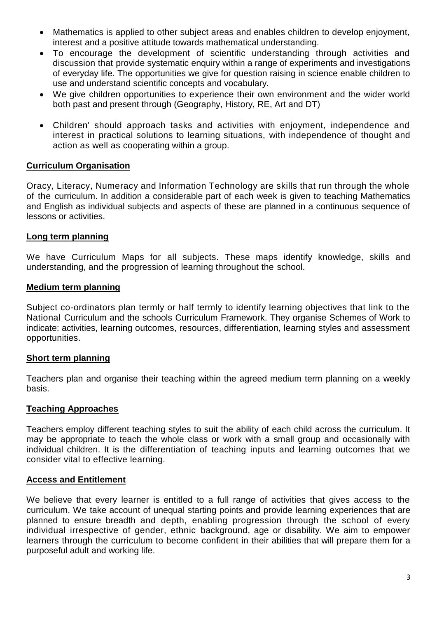- Mathematics is applied to other subject areas and enables children to develop enjoyment, interest and a positive attitude towards mathematical understanding.
- To encourage the development of scientific understanding through activities and discussion that provide systematic enquiry within a range of experiments and investigations of everyday life. The opportunities we give for question raising in science enable children to use and understand scientific concepts and vocabulary.
- We give children opportunities to experience their own environment and the wider world both past and present through (Geography, History, RE, Art and DT)
- Children' should approach tasks and activities with enjoyment, independence and interest in practical solutions to learning situations, with independence of thought and action as well as cooperating within a group.

#### **Curriculum Organisation**

Oracy, Literacy, Numeracy and Information Technology are skills that run through the whole of the curriculum. In addition a considerable part of each week is given to teaching Mathematics and English as individual subjects and aspects of these are planned in a continuous sequence of lessons or activities.

#### **Long term planning**

We have Curriculum Maps for all subjects. These maps identify knowledge, skills and understanding, and the progression of learning throughout the school.

#### **Medium term planning**

Subject co-ordinators plan termly or half termly to identify learning objectives that link to the National Curriculum and the schools Curriculum Framework. They organise Schemes of Work to indicate: activities, learning outcomes, resources, differentiation, learning styles and assessment opportunities.

#### **Short term planning**

Teachers plan and organise their teaching within the agreed medium term planning on a weekly basis.

#### **Teaching Approaches**

Teachers employ different teaching styles to suit the ability of each child across the curriculum. It may be appropriate to teach the whole class or work with a small group and occasionally with individual children. It is the differentiation of teaching inputs and learning outcomes that we consider vital to effective learning.

#### **Access and Entitlement**

We believe that every learner is entitled to a full range of activities that gives access to the curriculum. We take account of unequal starting points and provide learning experiences that are planned to ensure breadth and depth, enabling progression through the school of every individual irrespective of gender, ethnic background, age or disability. We aim to empower learners through the curriculum to become confident in their abilities that will prepare them for a purposeful adult and working life.